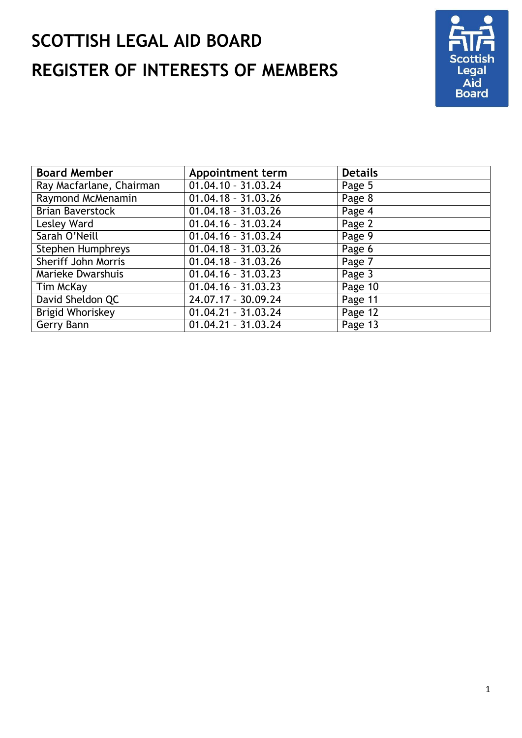# **SCOTTISH LEGAL AID BOARD REGISTER OF INTERESTS OF MEMBERS**



| <b>Board Member</b>      | <b>Appointment term</b> | <b>Details</b> |
|--------------------------|-------------------------|----------------|
| Ray Macfarlane, Chairman | $01.04.10 - 31.03.24$   | Page 5         |
| Raymond McMenamin        | $01.04.18 - 31.03.26$   | Page 8         |
| <b>Brian Baverstock</b>  | $01.04.18 - 31.03.26$   | Page 4         |
| Lesley Ward              | $01.04.16 - 31.03.24$   | Page 2         |
| Sarah O'Neill            | $01.04.16 - 31.03.24$   | Page 9         |
| <b>Stephen Humphreys</b> | $01.04.18 - 31.03.26$   | Page 6         |
| Sheriff John Morris      | $01.04.18 - 31.03.26$   | Page 7         |
| Marieke Dwarshuis        | $01.04.16 - 31.03.23$   | Page 3         |
| Tim McKay                | $01.04.16 - 31.03.23$   | Page 10        |
| David Sheldon QC         | 24.07.17 - 30.09.24     | Page 11        |
| Brigid Whoriskey         | $01.04.21 - 31.03.24$   | Page 12        |
| Gerry Bann               | $01.04.21 - 31.03.24$   | Page 13        |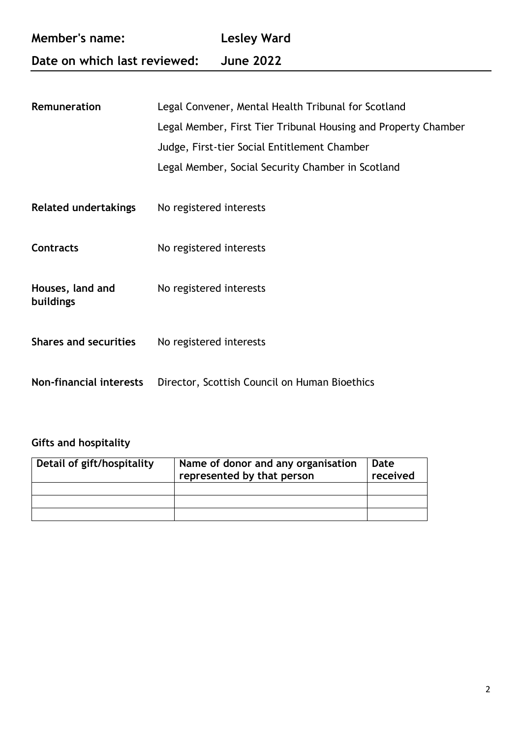| Member's name:               | Lesley Ward      |
|------------------------------|------------------|
| Date on which last reviewed: | <b>June 2022</b> |

| Remuneration                   | Legal Convener, Mental Health Tribunal for Scotland            |  |  |
|--------------------------------|----------------------------------------------------------------|--|--|
|                                | Legal Member, First Tier Tribunal Housing and Property Chamber |  |  |
|                                | Judge, First-tier Social Entitlement Chamber                   |  |  |
|                                | Legal Member, Social Security Chamber in Scotland              |  |  |
|                                |                                                                |  |  |
| <b>Related undertakings</b>    | No registered interests                                        |  |  |
|                                |                                                                |  |  |
| <b>Contracts</b>               | No registered interests                                        |  |  |
|                                |                                                                |  |  |
| Houses, land and               | No registered interests                                        |  |  |
| buildings                      |                                                                |  |  |
| <b>Shares and securities</b>   | No registered interests                                        |  |  |
|                                |                                                                |  |  |
| <b>Non-financial interests</b> | Director, Scottish Council on Human Bioethics                  |  |  |
|                                |                                                                |  |  |

| Detail of gift/hospitality | Name of donor and any organisation<br>represented by that person | Date<br>received |
|----------------------------|------------------------------------------------------------------|------------------|
|                            |                                                                  |                  |
|                            |                                                                  |                  |
|                            |                                                                  |                  |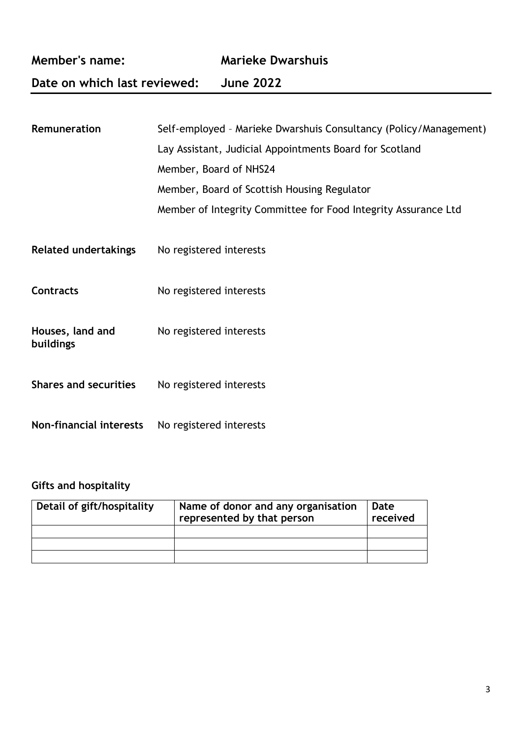| <b>Member's name:</b>         |                         | <b>Marieke Dwarshuis</b>                                          |  |
|-------------------------------|-------------------------|-------------------------------------------------------------------|--|
| Date on which last reviewed:  |                         | <b>June 2022</b>                                                  |  |
|                               |                         |                                                                   |  |
| Remuneration                  |                         | Self-employed - Marieke Dwarshuis Consultancy (Policy/Management) |  |
|                               |                         | Lay Assistant, Judicial Appointments Board for Scotland           |  |
|                               | Member, Board of NHS24  |                                                                   |  |
|                               |                         | Member, Board of Scottish Housing Regulator                       |  |
|                               |                         | Member of Integrity Committee for Food Integrity Assurance Ltd    |  |
| <b>Related undertakings</b>   | No registered interests |                                                                   |  |
| <b>Contracts</b>              | No registered interests |                                                                   |  |
| Houses, land and<br>buildings | No registered interests |                                                                   |  |
| <b>Shares and securities</b>  | No registered interests |                                                                   |  |
| Non-financial interests       | No registered interests |                                                                   |  |

| Detail of gift/hospitality | Name of donor and any organisation<br>represented by that person | Date<br>received |
|----------------------------|------------------------------------------------------------------|------------------|
|                            |                                                                  |                  |
|                            |                                                                  |                  |
|                            |                                                                  |                  |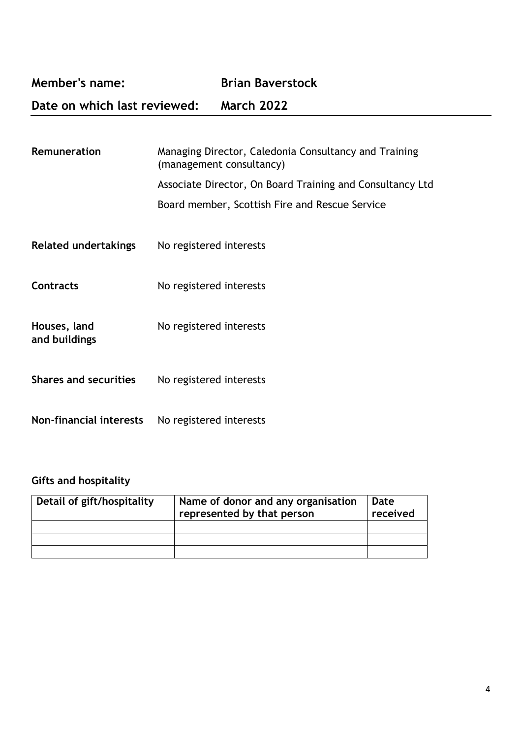**Member's name: Brian Baverstock**

**Date on which last reviewed: March 2022**

| Remuneration                  | Managing Director, Caledonia Consultancy and Training<br>(management consultancy)<br>Associate Director, On Board Training and Consultancy Ltd<br>Board member, Scottish Fire and Rescue Service |
|-------------------------------|--------------------------------------------------------------------------------------------------------------------------------------------------------------------------------------------------|
| <b>Related undertakings</b>   | No registered interests                                                                                                                                                                          |
| <b>Contracts</b>              | No registered interests                                                                                                                                                                          |
| Houses, land<br>and buildings | No registered interests                                                                                                                                                                          |
| <b>Shares and securities</b>  | No registered interests                                                                                                                                                                          |
| Non-financial interests       | No registered interests                                                                                                                                                                          |

| Detail of gift/hospitality | Name of donor and any organisation<br>represented by that person | Date<br>received |
|----------------------------|------------------------------------------------------------------|------------------|
|                            |                                                                  |                  |
|                            |                                                                  |                  |
|                            |                                                                  |                  |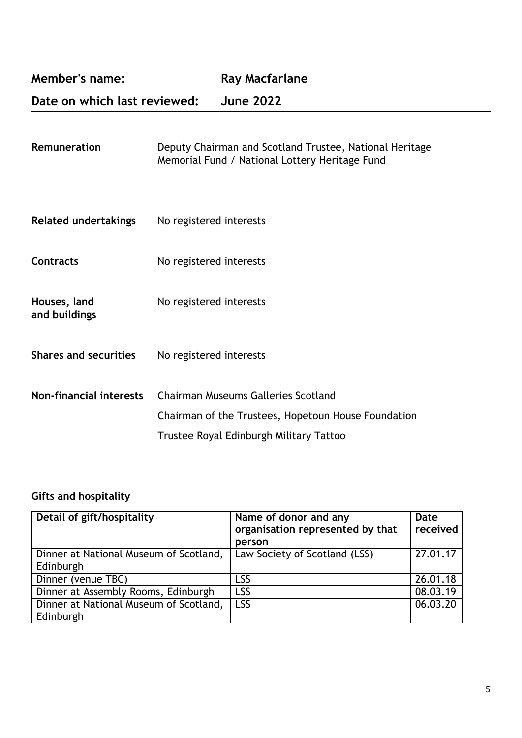**Member's name:** Ray Macfarlane

**Date on which last reviewed: June 2022**

| <b>Remuneration</b> | Deputy Chairman and Scotland Trustee, National Heritage |
|---------------------|---------------------------------------------------------|
|                     | Memorial Fund / National Lottery Heritage Fund          |

- **Related undertakings** No registered interests
- **Contracts** No registered interests
- **Houses, land** No registered interests **and buildings**
- Shares and securities No registered interests
- **Non-financial interests** Chairman Museums Galleries Scotland Chairman of the Trustees, Hopetoun House Foundation Trustee Royal Edinburgh Military Tattoo

| Detail of gift/hospitality                          | Name of donor and any<br>organisation represented by that<br>person | Date<br>received |
|-----------------------------------------------------|---------------------------------------------------------------------|------------------|
| Dinner at National Museum of Scotland,<br>Edinburgh | Law Society of Scotland (LSS)                                       | 27.01.17         |
| Dinner (venue TBC)                                  | LSS                                                                 | 26.01.18         |
| Dinner at Assembly Rooms, Edinburgh                 | <b>LSS</b>                                                          | 08.03.19         |
| Dinner at National Museum of Scotland,<br>Edinburgh | <b>LSS</b>                                                          | 06.03.20         |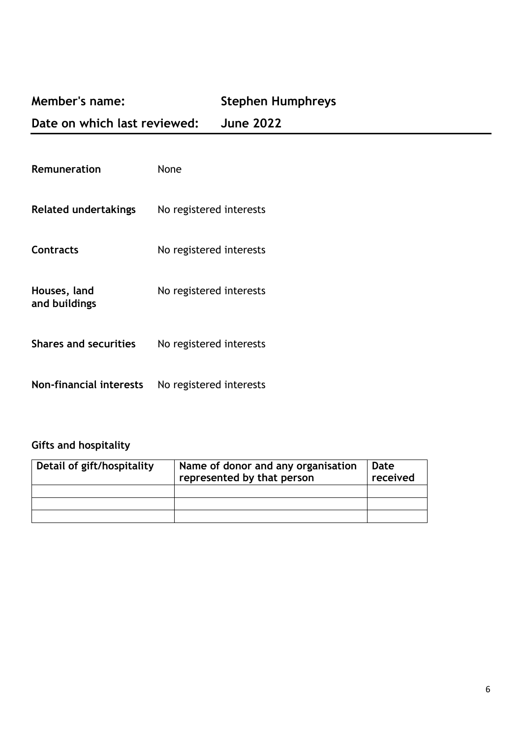## **Member's name: Stephen Humphreys**

**Date on which last reviewed: June 2022**

| Remuneration                   | None                    |
|--------------------------------|-------------------------|
| Related undertakings           | No registered interests |
| <b>Contracts</b>               | No registered interests |
| Houses, land<br>and buildings  | No registered interests |
| <b>Shares and securities</b>   | No registered interests |
| <b>Non-financial interests</b> | No registered interests |

| Detail of gift/hospitality | Name of donor and any organisation<br>represented by that person | Date<br>received |
|----------------------------|------------------------------------------------------------------|------------------|
|                            |                                                                  |                  |
|                            |                                                                  |                  |
|                            |                                                                  |                  |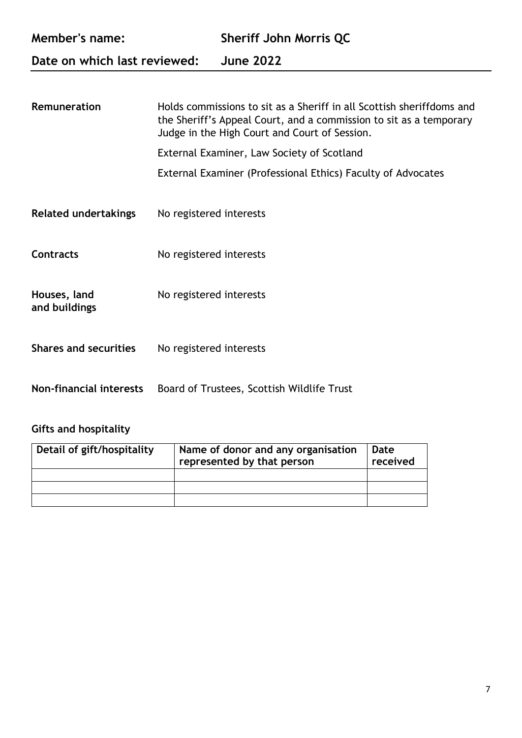| <b>Member's name:</b><br>Date on which last reviewed: |                         | <b>Sheriff John Morris QC</b><br><b>June 2022</b>                                                                                                                                            |
|-------------------------------------------------------|-------------------------|----------------------------------------------------------------------------------------------------------------------------------------------------------------------------------------------|
|                                                       |                         |                                                                                                                                                                                              |
| Remuneration                                          |                         | Holds commissions to sit as a Sheriff in all Scottish sheriffdoms and<br>the Sheriff's Appeal Court, and a commission to sit as a temporary<br>Judge in the High Court and Court of Session. |
|                                                       |                         | External Examiner, Law Society of Scotland                                                                                                                                                   |
|                                                       |                         | External Examiner (Professional Ethics) Faculty of Advocates                                                                                                                                 |
| <b>Related undertakings</b>                           | No registered interests |                                                                                                                                                                                              |
| <b>Contracts</b>                                      | No registered interests |                                                                                                                                                                                              |
| Houses, land<br>and buildings                         | No registered interests |                                                                                                                                                                                              |
| <b>Shares and securities</b>                          | No registered interests |                                                                                                                                                                                              |

**Non-financial interests** Board of Trustees, Scottish Wildlife Trust

| Detail of gift/hospitality | Name of donor and any organisation<br>represented by that person | Date<br>received |
|----------------------------|------------------------------------------------------------------|------------------|
|                            |                                                                  |                  |
|                            |                                                                  |                  |
|                            |                                                                  |                  |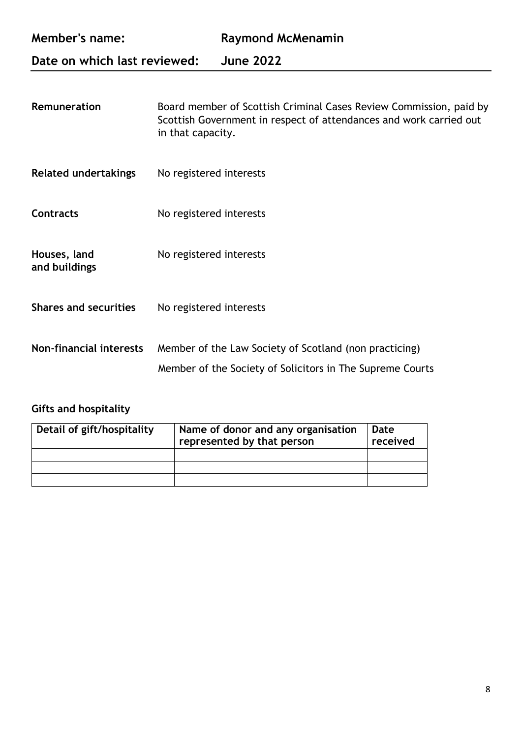| <b>Member's name:</b>          | <b>Raymond McMenamin</b>                                                                                                                                      |
|--------------------------------|---------------------------------------------------------------------------------------------------------------------------------------------------------------|
| Date on which last reviewed:   | <b>June 2022</b>                                                                                                                                              |
| Remuneration                   | Board member of Scottish Criminal Cases Review Commission, paid by<br>Scottish Government in respect of attendances and work carried out<br>in that capacity. |
| <b>Related undertakings</b>    | No registered interests                                                                                                                                       |
| <b>Contracts</b>               | No registered interests                                                                                                                                       |
| Houses, land<br>and buildings  | No registered interests                                                                                                                                       |
| <b>Shares and securities</b>   | No registered interests                                                                                                                                       |
| <b>Non-financial interests</b> | Member of the Law Society of Scotland (non practicing)                                                                                                        |

# Member of the Society of Solicitors in The Supreme Courts

| Detail of gift/hospitality | Name of donor and any organisation<br>represented by that person | Date<br>received |
|----------------------------|------------------------------------------------------------------|------------------|
|                            |                                                                  |                  |
|                            |                                                                  |                  |
|                            |                                                                  |                  |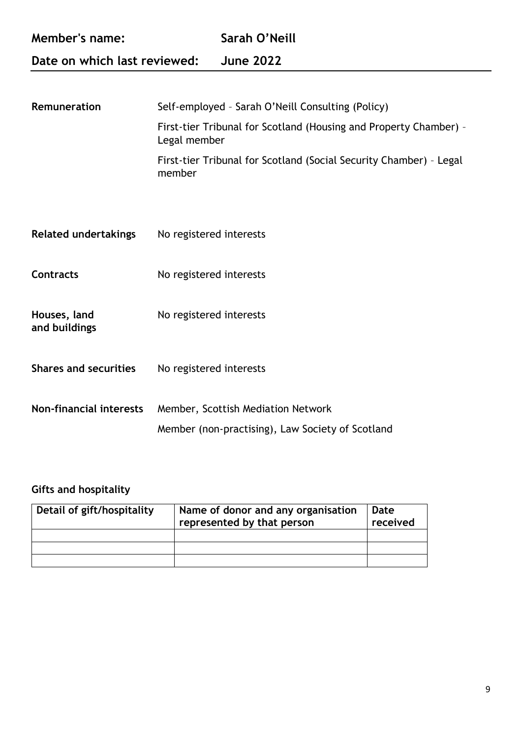| <b>Member's name:</b><br>Date on which last reviewed: |              | Sarah O'Neill                                                     |
|-------------------------------------------------------|--------------|-------------------------------------------------------------------|
|                                                       |              | <b>June 2022</b>                                                  |
|                                                       |              |                                                                   |
| Remuneration                                          |              | Self-employed - Sarah O'Neill Consulting (Policy)                 |
|                                                       | Legal member | First-tier Tribunal for Scotland (Housing and Property Chamber) - |

First-tier Tribunal for Scotland (Social Security Chamber) – Legal member

- **Related undertakings** No registered interests **Contracts** No registered interests
- Houses, land No registered interests
- **and buildings**
- Shares and securities No registered interests
- **Non-financial interests** Member, Scottish Mediation Network Member (non-practising), Law Society of Scotland

| Detail of gift/hospitality | Name of donor and any organisation<br>represented by that person | Date<br>received |
|----------------------------|------------------------------------------------------------------|------------------|
|                            |                                                                  |                  |
|                            |                                                                  |                  |
|                            |                                                                  |                  |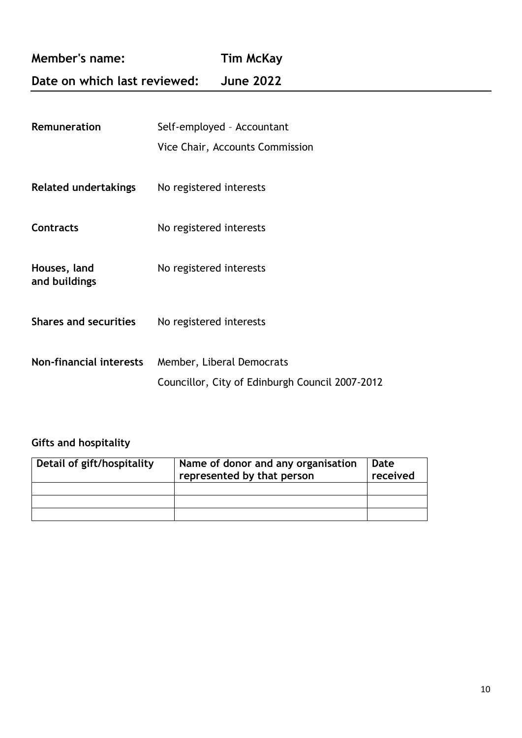**Member's name: Tim McKay**

## **Date on which last reviewed: June 2022**

| Remuneration                   | Self-employed - Accountant<br>Vice Chair, Accounts Commission                |
|--------------------------------|------------------------------------------------------------------------------|
| <b>Related undertakings</b>    | No registered interests                                                      |
| Contracts                      | No registered interests                                                      |
| Houses, land<br>and buildings  | No registered interests                                                      |
| <b>Shares and securities</b>   | No registered interests                                                      |
| <b>Non-financial interests</b> | Member, Liberal Democrats<br>Councillor, City of Edinburgh Council 2007-2012 |

| Detail of gift/hospitality | Name of donor and any organisation<br>represented by that person | Date<br>received |
|----------------------------|------------------------------------------------------------------|------------------|
|                            |                                                                  |                  |
|                            |                                                                  |                  |
|                            |                                                                  |                  |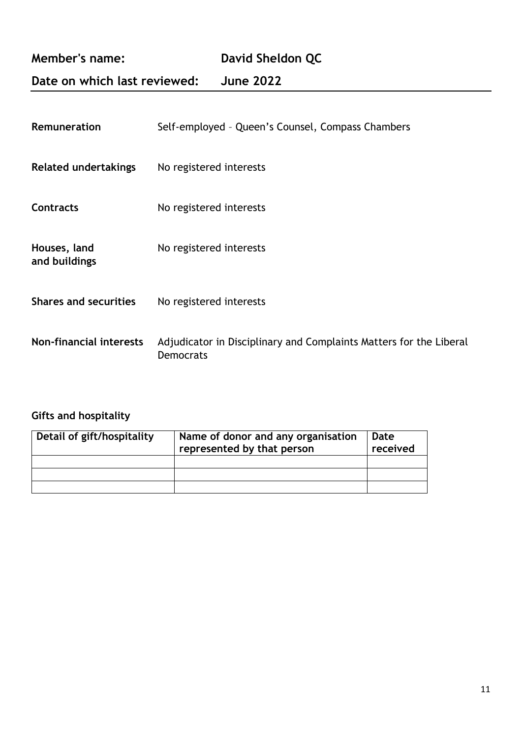## **Date on which last reviewed: June 2022**

| Remuneration                  | Self-employed - Queen's Counsel, Compass Chambers                                      |
|-------------------------------|----------------------------------------------------------------------------------------|
| <b>Related undertakings</b>   | No registered interests                                                                |
| Contracts                     | No registered interests                                                                |
| Houses, land<br>and buildings | No registered interests                                                                |
| <b>Shares and securities</b>  | No registered interests                                                                |
| Non-financial interests       | Adjudicator in Disciplinary and Complaints Matters for the Liberal<br><b>Democrats</b> |

| Detail of gift/hospitality | Name of donor and any organisation<br>represented by that person | Date<br>received |
|----------------------------|------------------------------------------------------------------|------------------|
|                            |                                                                  |                  |
|                            |                                                                  |                  |
|                            |                                                                  |                  |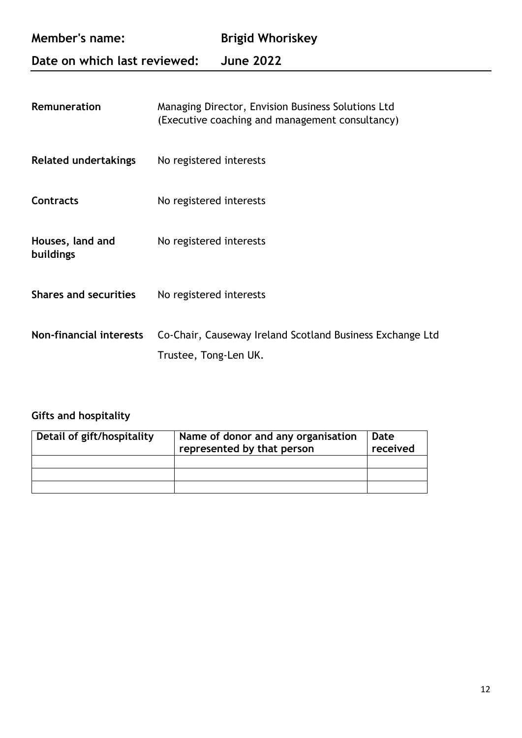| <b>Member's name:</b>        | <b>Brigid Whoriskey</b> |
|------------------------------|-------------------------|
| Date on which last reviewed: | <b>June 2022</b>        |

| Remuneration                   | Managing Director, Envision Business Solutions Ltd<br>(Executive coaching and management consultancy) |
|--------------------------------|-------------------------------------------------------------------------------------------------------|
| <b>Related undertakings</b>    | No registered interests                                                                               |
| <b>Contracts</b>               | No registered interests                                                                               |
| Houses, land and<br>buildings  | No registered interests                                                                               |
| <b>Shares and securities</b>   | No registered interests                                                                               |
| <b>Non-financial interests</b> | Co-Chair, Causeway Ireland Scotland Business Exchange Ltd<br>Trustee, Tong-Len UK.                    |

| Detail of gift/hospitality | Name of donor and any organisation<br>represented by that person | Date<br>received |
|----------------------------|------------------------------------------------------------------|------------------|
|                            |                                                                  |                  |
|                            |                                                                  |                  |
|                            |                                                                  |                  |